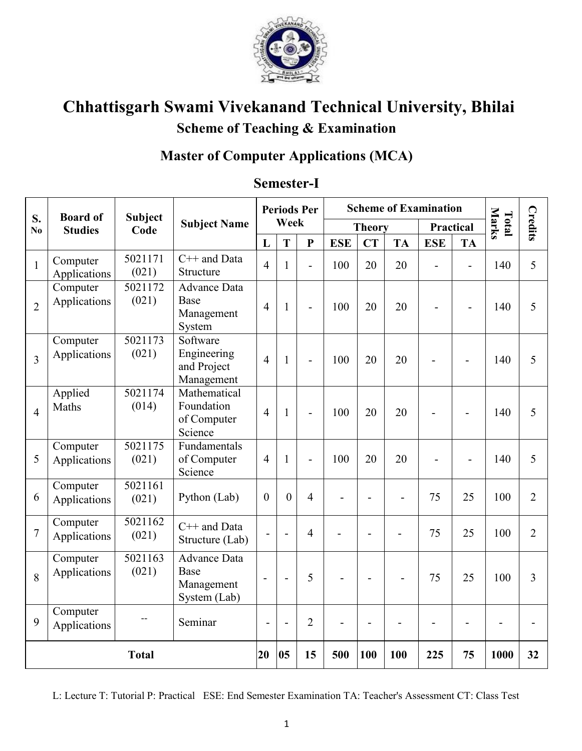

# Chhattisgarh Swami Vivekanand Technical University, Bhilai **Scheme of Teaching & Examination**

## **Master of Computer Applications (MCA)**

|                      | <b>Board of</b><br><b>Subject</b> |                  |                                                                  | <b>Periods Per</b> |                |                |            | <b>Scheme of Examination</b> |           |                  |           |                |                |
|----------------------|-----------------------------------|------------------|------------------------------------------------------------------|--------------------|----------------|----------------|------------|------------------------------|-----------|------------------|-----------|----------------|----------------|
| S.<br>N <sub>0</sub> | <b>Studies</b>                    | Code             | <b>Subject Name</b>                                              |                    | Week           |                |            | <b>Theory</b>                |           | <b>Practical</b> |           | Marks<br>Total | Credits        |
|                      |                                   |                  |                                                                  | L                  | T              | $\mathbf{P}$   | <b>ESE</b> | <b>CT</b>                    | <b>TA</b> | <b>ESE</b>       | <b>TA</b> |                |                |
| $\mathbf{1}$         | Computer<br>Applications          | 5021171<br>(021) | $C++$ and Data<br>Structure                                      | $\overline{4}$     | $\mathbf{1}$   | $\overline{a}$ | 100        | 20                           | 20        |                  |           | 140            | 5              |
| $\overline{2}$       | Computer<br>Applications          | 5021172<br>(021) | <b>Advance Data</b><br>Base<br>Management<br>System              | $\overline{4}$     | $\mathbf{1}$   | $\overline{a}$ | 100        | 20                           | 20        |                  |           | 140            | 5              |
| 3                    | Computer<br>Applications          | 5021173<br>(021) | Software<br>Engineering<br>and Project<br>Management             | $\overline{4}$     | $\mathbf{1}$   | $\overline{a}$ | 100        | 20                           | 20        |                  |           | 140            | 5              |
| $\overline{4}$       | Applied<br>Maths                  | 5021174<br>(014) | Mathematical<br>Foundation<br>of Computer<br>Science             | $\overline{4}$     | 1              | $\overline{a}$ | 100        | 20                           | 20        |                  |           | 140            | 5              |
| 5                    | Computer<br>Applications          | 5021175<br>(021) | Fundamentals<br>of Computer<br>Science                           | $\overline{4}$     | $\mathbf{1}$   | $\overline{a}$ | 100        | 20                           | 20        |                  |           | 140            | 5              |
| 6                    | Computer<br>Applications          | 5021161<br>(021) | Python (Lab)                                                     | $\overline{0}$     | $\overline{0}$ | 4              |            |                              |           | 75               | 25        | 100            | $\overline{2}$ |
| $\overline{7}$       | Computer<br>Applications          | 5021162<br>(021) | $C++$ and Data<br>Structure (Lab)                                |                    |                | 4              |            |                              |           | 75               | 25        | 100            | $\overline{2}$ |
| 8                    | Computer<br>Applications          | 5021163<br>(021) | <b>Advance Data</b><br><b>Base</b><br>Management<br>System (Lab) | $\blacksquare$     |                | 5              |            |                              |           | 75               | 25        | 100            | 3              |
| 9                    | Computer<br>Applications          |                  | Seminar                                                          |                    |                | $\overline{2}$ |            |                              |           |                  |           |                |                |
|                      | <b>Total</b>                      |                  |                                                                  | 20                 | 05             | 15             | 500        | 100                          | 100       | 225              | 75        | 1000           | 32             |

#### Semester-I

L: Lecture T: Tutorial P: Practical ESE: End Semester Examination TA: Teacher's Assessment CT: Class Test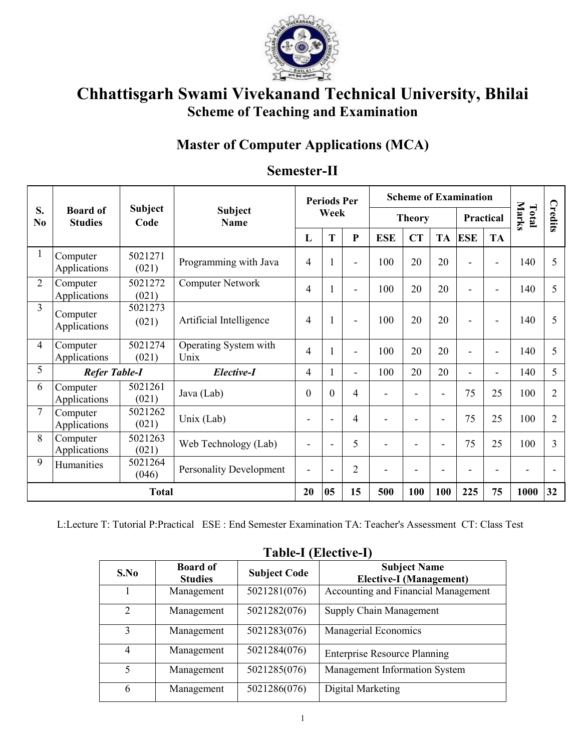

### Chhattisgarh Swami Vivekanand Technical University, Bhilai **Scheme of Teaching and Examination**

### **Master of Computer Applications (MCA)**

### Semester-II

|                |                                   |                        |                                |          | <b>Periods Per</b> |                          |               | <b>Scheme of Examination</b> |                  |            |                          |                |                |
|----------------|-----------------------------------|------------------------|--------------------------------|----------|--------------------|--------------------------|---------------|------------------------------|------------------|------------|--------------------------|----------------|----------------|
| S.<br>No       | <b>Board of</b><br><b>Studies</b> | <b>Subject</b><br>Code | <b>Subject</b><br><b>Name</b>  | Week     |                    |                          | <b>Theory</b> |                              | <b>Practical</b> |            | Marks<br>Total           | <b>Credits</b> |                |
|                |                                   |                        |                                | L        | T                  | $\mathbf{P}$             | <b>ESE</b>    | <b>CT</b>                    | <b>TA</b>        | <b>ESE</b> | <b>TA</b>                |                |                |
| 1              | Computer<br>Applications          | 5021271<br>(021)       | Programming with Java          | 4        | $\mathbf{1}$       |                          | 100           | 20                           | 20               |            |                          | 140            | 5              |
| $\overline{2}$ | Computer<br>Applications          | 5021272<br>(021)       | <b>Computer Network</b>        | 4        | 1                  |                          | 100           | 20                           | 20               |            | ۰                        | 140            | 5              |
| 3              | Computer<br>Applications          | 5021273<br>(021)       | Artificial Intelligence        | 4        |                    | $\overline{\phantom{0}}$ | 100           | 20                           | 20               |            |                          | 140            | 5              |
| 4              | Computer<br>Applications          | 5021274<br>(021)       | Operating System with<br>Unix  | 4        | 1                  | $\overline{\phantom{a}}$ | 100           | 20                           | 20               | ۰          | $\overline{\phantom{a}}$ | 140            | 5              |
| 5              | <b>Refer Table-I</b>              |                        | Elective-I                     | 4        | $\mathbf{1}$       |                          | 100           | 20                           | 20               |            | $\blacksquare$           | 140            | 5              |
| 6              | Computer<br>Applications          | 5021261<br>(021)       | Java (Lab)                     | $\theta$ | $\theta$           | 4                        |               | $\blacksquare$               | ٠                | 75         | 25                       | 100            | $\overline{2}$ |
| $\overline{7}$ | Computer<br>Applications          | 5021262<br>(021)       | Unix (Lab)                     |          | $\blacksquare$     | 4                        |               | $\blacksquare$               | ٠                | 75         | 25                       | 100            | $\overline{2}$ |
| 8              | Computer<br>Applications          | 5021263<br>(021)       | Web Technology (Lab)           |          | $\blacksquare$     | 5                        |               | $\overline{\phantom{0}}$     | ۰                | 75         | 25                       | 100            | 3              |
| 9              | Humanities                        | 5021264<br>(046)       | <b>Personality Development</b> |          | $\blacksquare$     | $\overline{2}$           |               |                              |                  |            | -                        |                |                |
|                |                                   | <b>Total</b>           |                                | 20       | 05                 | 15                       | 500           | 100                          | 100              | 225        | 75                       | 1000           | 32             |

L:Lecture T: Tutorial P:Practical ESE : End Semester Examination TA: Teacher's Assessment CT: Class Test

|                |                                   |                     | $1401C_1 U1UU1V_1$                                    |
|----------------|-----------------------------------|---------------------|-------------------------------------------------------|
| S.No           | <b>Board of</b><br><b>Studies</b> | <b>Subject Code</b> | <b>Subject Name</b><br><b>Elective-I</b> (Management) |
|                | Management                        | 5021281(076)        | Accounting and Financial Management                   |
| 2              | Management                        | 5021282(076)        | Supply Chain Management                               |
| 3              | Management                        | 5021283(076)        | <b>Managerial Economics</b>                           |
| $\overline{4}$ | Management                        | 5021284(076)        | <b>Enterprise Resource Planning</b>                   |
| 5              | Management                        | 5021285(076)        | Management Information System                         |
| 6              | Management                        | 5021286(076)        | Digital Marketing                                     |

#### Table-L(Flective-D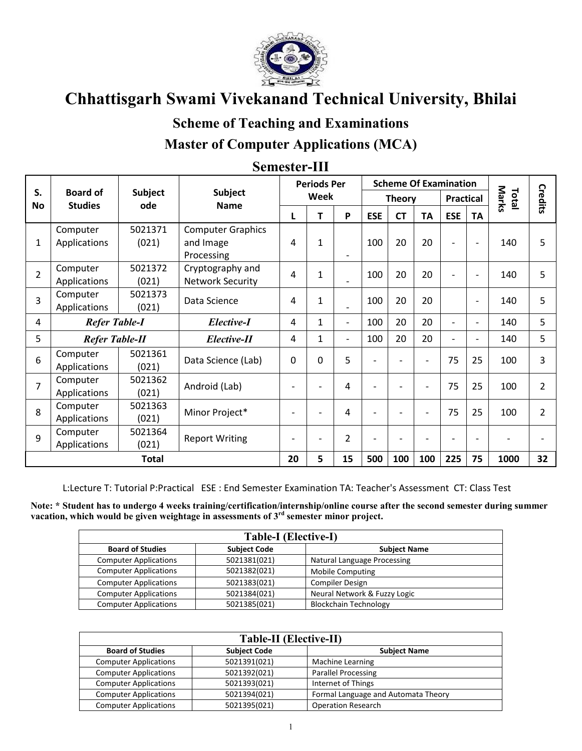

## Chhattisgarh Swami Vivekanand Technical University, Bhilai

# **Scheme of Teaching and Examinations Master of Computer Applications (MCA)**

|                |                          |                  |                                                     |             | <b>Periods Per</b> |                              |            | <b>Scheme Of Examination</b> |                          |                          |                          |                                                                        |                |
|----------------|--------------------------|------------------|-----------------------------------------------------|-------------|--------------------|------------------------------|------------|------------------------------|--------------------------|--------------------------|--------------------------|------------------------------------------------------------------------|----------------|
| S.             | <b>Board of</b>          | <b>Subject</b>   | <b>Subject</b>                                      | <b>Week</b> |                    |                              |            | <b>Theory</b>                |                          | <b>Practical</b>         |                          |                                                                        | Credits        |
| <b>No</b>      | <b>Studies</b>           | ode              | <b>Name</b>                                         | L           | т                  | P                            | <b>ESE</b> | <b>CT</b>                    | <b>TA</b>                | <b>ESE</b>               | TA                       | Marks<br>Total<br>140<br>140<br>140<br>140<br>140<br>100<br>100<br>100 |                |
| 1              | Computer<br>Applications | 5021371<br>(021) | <b>Computer Graphics</b><br>and Image<br>Processing | 4           | $\mathbf{1}$       | $\overline{\phantom{0}}$     | 100        | 20                           | 20                       | $\overline{\phantom{a}}$ | $\overline{\phantom{a}}$ |                                                                        | 5              |
| $\overline{2}$ | Computer<br>Applications | 5021372<br>(021) | Cryptography and<br><b>Network Security</b>         | 4           | 1                  |                              | 100        | 20                           | 20                       | $\overline{\phantom{a}}$ | $\overline{\phantom{a}}$ |                                                                        | 5              |
| 3              | Computer<br>Applications | 5021373<br>(021) | Data Science                                        | 4           | 1                  |                              | 100        | 20                           | 20                       |                          | ۰                        |                                                                        | 5              |
| 4              | <b>Refer Table-I</b>     |                  | Elective-I                                          | 4           | $\mathbf{1}$       | $\overline{\phantom{0}}$     | 100        | 20                           | 20                       | $\overline{\phantom{a}}$ | $\overline{a}$           |                                                                        | 5              |
| 5              | <b>Refer Table-II</b>    |                  | Elective-II                                         | 4           | 1                  | $\qquad \qquad \blacksquare$ | 100        | 20                           | 20                       | $\overline{\phantom{a}}$ | $\overline{\phantom{a}}$ |                                                                        | 5              |
| 6              | Computer<br>Applications | 5021361<br>(021) | Data Science (Lab)                                  | $\Omega$    | $\Omega$           | 5                            |            |                              | $\overline{\phantom{a}}$ | 75                       | 25                       |                                                                        | 3              |
| $\overline{7}$ | Computer<br>Applications | 5021362<br>(021) | Android (Lab)                                       |             |                    | 4                            |            |                              | $\overline{\phantom{0}}$ | 75                       | 25                       |                                                                        | 2              |
| 8              | Computer<br>Applications | 5021363<br>(021) | Minor Project*                                      |             |                    | 4                            |            |                              | $\overline{\phantom{a}}$ | 75                       | 25                       |                                                                        | $\overline{2}$ |
| 9              | Computer<br>Applications | 5021364<br>(021) | <b>Report Writing</b>                               |             |                    | 2                            |            |                              |                          |                          |                          |                                                                        |                |
|                |                          | <b>Total</b>     |                                                     | 20          | 5                  | 15                           | 500        | 100                          | 100                      | 225                      | 75                       | 1000                                                                   | 32             |

#### Semester-III

L:Lecture T: Tutorial P:Practical ESE : End Semester Examination TA: Teacher's Assessment CT: Class Test

Note: \* Student has to undergo 4 weeks training/certification/internship/online course after the second semester during summer vacation, which would be given weightage in assessments of  $3^{rd}$  semester minor project.

| Table-I (Elective-I)         |                     |                              |  |  |  |  |  |  |  |  |
|------------------------------|---------------------|------------------------------|--|--|--|--|--|--|--|--|
| <b>Board of Studies</b>      | <b>Subject Code</b> | <b>Subject Name</b>          |  |  |  |  |  |  |  |  |
| <b>Computer Applications</b> | 5021381(021)        | Natural Language Processing  |  |  |  |  |  |  |  |  |
| <b>Computer Applications</b> | 5021382(021)        | <b>Mobile Computing</b>      |  |  |  |  |  |  |  |  |
| <b>Computer Applications</b> | 5021383(021)        | <b>Compiler Design</b>       |  |  |  |  |  |  |  |  |
| <b>Computer Applications</b> | 5021384(021)        | Neural Network & Fuzzy Logic |  |  |  |  |  |  |  |  |
| <b>Computer Applications</b> | 5021385(021)        | <b>Blockchain Technology</b> |  |  |  |  |  |  |  |  |

| <b>Table-II</b> (Elective-II) |                     |                                     |  |  |  |  |  |  |  |  |
|-------------------------------|---------------------|-------------------------------------|--|--|--|--|--|--|--|--|
| <b>Board of Studies</b>       | <b>Subject Code</b> | <b>Subject Name</b>                 |  |  |  |  |  |  |  |  |
| <b>Computer Applications</b>  | 5021391(021)        | Machine Learning                    |  |  |  |  |  |  |  |  |
| <b>Computer Applications</b>  | 5021392(021)        | <b>Parallel Processing</b>          |  |  |  |  |  |  |  |  |
| <b>Computer Applications</b>  | 5021393(021)        | Internet of Things                  |  |  |  |  |  |  |  |  |
| <b>Computer Applications</b>  | 5021394(021)        | Formal Language and Automata Theory |  |  |  |  |  |  |  |  |
| <b>Computer Applications</b>  | 5021395(021)        | <b>Operation Research</b>           |  |  |  |  |  |  |  |  |